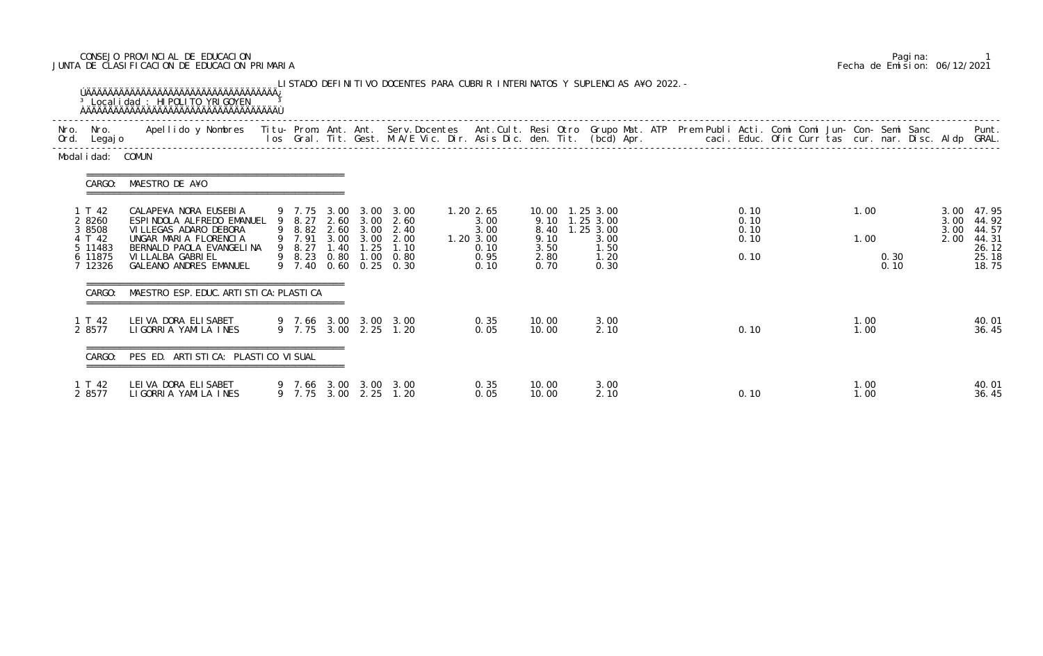### CONSEJO PROVINCIAL DE EDUCACION Pagina: 1 JUNTA DE CLASIFICACION DE EDUCACION PRIMARIA Fecha de Emision: 06/12/2021

| Ord. | Nro. Nro.<br>Legaj o                                                  | Apellido y Nombres Titu- Prom. Ant. Ant. Serv.Docentes Ant.Cult. Resi Otro Grupo Mat. ATP Prem Publi Acti. Comi Comi Jun- Con- Semi Sanc                                                                       |                  |                                                                                    |                                                               |                                                                |                                      |                                                                                  |  |                                      | los Gral. Tit. Gest. M.A/E Vic. Dir. Asis Dic. den. Tit. (bcd) Apr.       caci. Educ. Ofic Curr tas cur. nar. Disc. Aldp GRAL. |              |              |                      | Punt.                                                            |
|------|-----------------------------------------------------------------------|----------------------------------------------------------------------------------------------------------------------------------------------------------------------------------------------------------------|------------------|------------------------------------------------------------------------------------|---------------------------------------------------------------|----------------------------------------------------------------|--------------------------------------|----------------------------------------------------------------------------------|--|--------------------------------------|--------------------------------------------------------------------------------------------------------------------------------|--------------|--------------|----------------------|------------------------------------------------------------------|
|      | Modal i dad: COMUN                                                    |                                                                                                                                                                                                                |                  |                                                                                    |                                                               |                                                                |                                      |                                                                                  |  |                                      |                                                                                                                                |              |              |                      |                                                                  |
|      | CARGO:                                                                | MAESTRO DE A¥O                                                                                                                                                                                                 |                  |                                                                                    |                                                               |                                                                |                                      |                                                                                  |  |                                      |                                                                                                                                |              |              |                      |                                                                  |
|      | 1 T 42<br>2 8260<br>3 8508<br>4 T 42<br>5 11483<br>6 11875<br>7 12326 | CALAPE¥A NORA EUSEBIA<br>ESPINDOLA ALFREDO EMANUEL 9 8.27 2.60 3.00 2.60<br>VI LLEGAS ADARO DEBORA<br>UNGAR MARIA FLORENCIA<br>BERNALD PAOLA EVANGELINA<br>VI LLALBA GABRI EL<br><b>GALEANO ANDRES EMANUEL</b> | 9 7.91<br>9 8.27 | 9 7.75 3.00 3.00<br>3.00 3.00<br>1.40 1.25<br>9 8.23 0.80 1.00<br>9 7.40 0.60 0.25 | 3.00<br>9 8.82 2.60 3.00 2.40<br>2.00<br>1.10<br>0.80<br>0.30 | 1.20 2.65<br>3.00<br>3.00<br>1.20 3.00<br>0.10<br>0.95<br>0.10 | 8.40<br>9.10<br>3.50<br>2.80<br>0.70 | 10.00  1.25  3.00<br>9.10 1.25 3.00<br>1.25 3.00<br>3.00<br>1.50<br>1.20<br>0.30 |  | 0.10<br>0.10<br>0.10<br>0.10<br>0.10 |                                                                                                                                | 1.00<br>1.00 | 0.30<br>0.10 | 3.00<br>3.00<br>2.00 | 3.00 47.95<br>44.92<br>44.57<br>44.31<br>26.12<br>25.18<br>18.75 |
|      | CARGO:                                                                | MAESTRO ESP. EDUC. ARTI STI CA: PLASTI CA                                                                                                                                                                      |                  |                                                                                    |                                                               |                                                                |                                      |                                                                                  |  |                                      |                                                                                                                                |              |              |                      |                                                                  |
|      | 1 T 42<br>2 8577                                                      | LEI VA DORA ELI SABET<br>LIGORRIA YAMILA INES                                                                                                                                                                  |                  |                                                                                    | 9 7.66 3.00 3.00 3.00<br>9 7.75 3.00 2.25 1.20                | 0.35<br>0.05                                                   | 10.00<br>10.00                       | 3.00<br>2.10                                                                     |  | 0.10                                 |                                                                                                                                | 1.00<br>1.00 |              |                      | 40.01<br>36.45                                                   |
|      |                                                                       | CARGO: PES ED. ARTISTICA: PLASTICO VISUAL                                                                                                                                                                      |                  |                                                                                    |                                                               |                                                                |                                      |                                                                                  |  |                                      |                                                                                                                                |              |              |                      |                                                                  |
|      | 1 T 42<br>2 8577                                                      | LEIVA DORA ELISABET<br>LIGORRIA YAMILA INES                                                                                                                                                                    |                  |                                                                                    | 9 7.66 3.00 3.00 3.00<br>9 7.75 3.00 2.25 1.20                | 0.35<br>0.05                                                   | 10.00<br>10.00                       | 3.00<br>2.10                                                                     |  | 0.10                                 |                                                                                                                                | 1.00<br>1.00 |              |                      | 40.01<br>36.45                                                   |

|  | Pagi na: |                              |
|--|----------|------------------------------|
|  |          | Fecha de Emision: 06/12/2021 |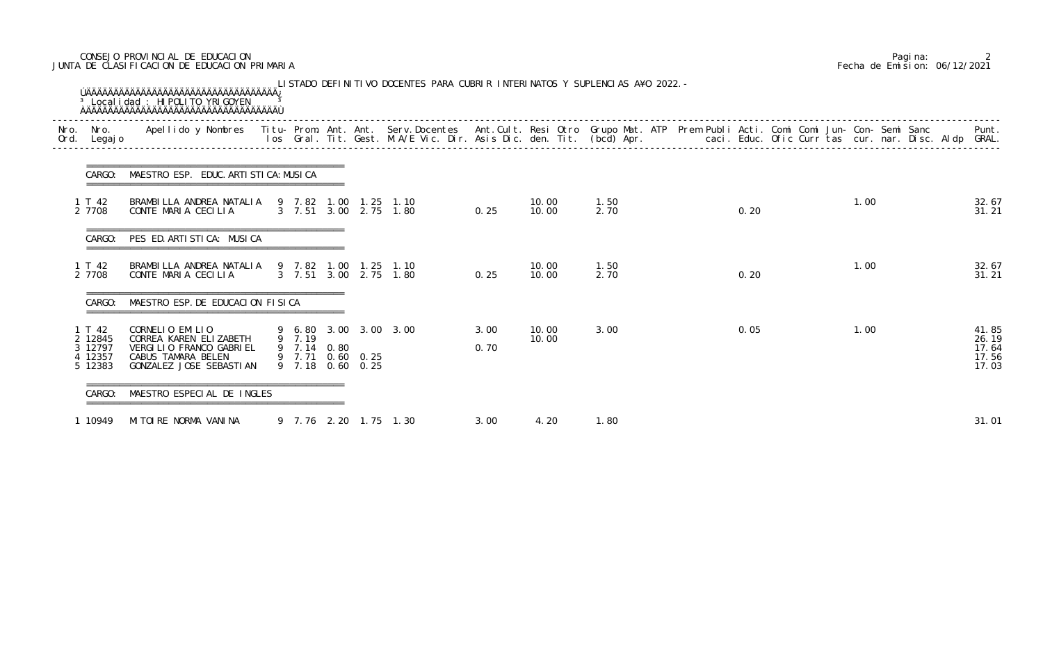### CONSEJO PROVINCIAL DE EDUCACION Pagina: 2 JUNTA DE CLASIFICACION DE EDUCACION PRIMARIA Fecha de Emision: 06/12/2021

| Ord. | Nro. Nro.<br>Legaj o                             | Apellido y Nombres  Titu- Prom. Ant. Ant. Serv.Docentes  Ant.Cult. Resi Otro Grupo Mat. ATP Prem Publi Acti. Comi Comi Jun- Con- Semi Sanc         Punt.<br>Ios Gral. Tit. Gest. M.A/E Vic. Dir. Asis Dic. den. Tit. (bcd) Apr. |                       |                                      |                                      |              |                |              |  |      |  |      |  |                                           |
|------|--------------------------------------------------|---------------------------------------------------------------------------------------------------------------------------------------------------------------------------------------------------------------------------------|-----------------------|--------------------------------------|--------------------------------------|--------------|----------------|--------------|--|------|--|------|--|-------------------------------------------|
|      | CARGO:                                           | MAESTRO ESP. EDUC. ARTI STI CA: MUSI CA                                                                                                                                                                                         |                       |                                      |                                      |              |                |              |  |      |  |      |  |                                           |
|      | 1 T 42<br>2 7708                                 | BRAMBILLA ANDREA NATALIA<br>CONTE MARIA CECILIA                                                                                                                                                                                 | 9 7.82 1.00           | 1. 25                                | 1.10<br>3 7.51 3.00 2.75 1.80        | 0.25         | 10.00<br>10.00 | 1.50<br>2.70 |  | 0.20 |  | 1.00 |  | 32.67<br>31.21                            |
|      | CARGO:                                           | PES ED. ARTISTICA: MUSICA                                                                                                                                                                                                       |                       |                                      |                                      |              |                |              |  |      |  |      |  |                                           |
|      | 1 T 42<br>2 7708                                 | BRAMBILLA ANDREA NATALIA<br>CONTE MARIA CECILIA                                                                                                                                                                                 | 9 7.82 1.00           |                                      | $1.25$ 1.10<br>3 7.51 3.00 2.75 1.80 | 0.25         | 10.00<br>10.00 | 1.50<br>2.70 |  | 0.20 |  | 1.00 |  | 32.67<br>31.21                            |
|      | CARGO:                                           | MAESTRO ESP. DE EDUCACION FISICA                                                                                                                                                                                                |                       |                                      |                                      |              |                |              |  |      |  |      |  |                                           |
|      | 1 T 42<br>2 12845<br>3 12797<br>4 12357<br>12383 | CORNELIO EMILIO<br>CORREA KAREN ELIZABETH<br>VERGILIO FRANCO GABRIEL<br>CABUS TAMARA BELEN<br>GONZALEZ JOSE SEBASTIAN                                                                                                           | 9 7.19<br>9 7.14 0.80 | 9 7.71 0.60 0.25<br>9 7.18 0.60 0.25 | 9 6.80 3.00 3.00 3.00                | 3.00<br>0.70 | 10.00<br>10.00 | 3.00         |  | 0.05 |  | 1.00 |  | 41.85<br>26.19<br>17.64<br>17.56<br>17.03 |
|      | CARGO:                                           | MAESTRO ESPECIAL DE INGLES                                                                                                                                                                                                      |                       |                                      |                                      |              |                |              |  |      |  |      |  |                                           |
|      | 1 10949                                          | MITOIRE NORMA VANINA                                                                                                                                                                                                            |                       |                                      | 9 7.76 2.20 1.75 1.30                | 3.00         | 4.20           | 1.80         |  |      |  |      |  | 31.01                                     |

|  | Pagi na: |                              |
|--|----------|------------------------------|
|  |          | Fecha de Emision: 06/12/2021 |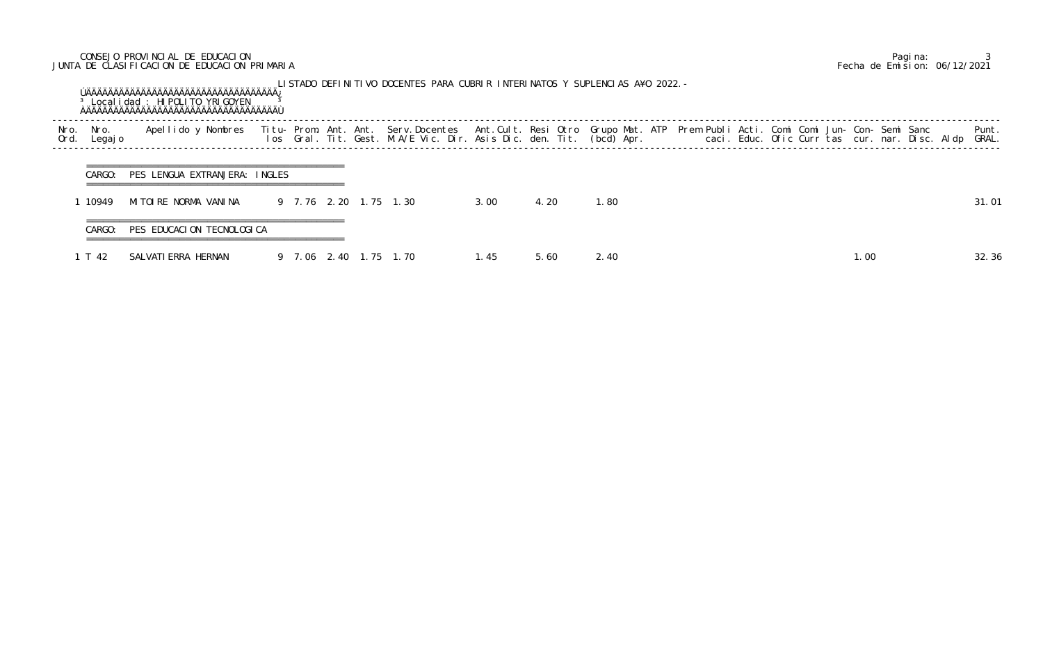## CONSEJO PROVINCIAL DE EDUCACION Pagina: 3 JUNTA DE CLASIFICACION DE EDUCACION PRIMARIA Fecha de Emision: 06/12/2021

|              |                 | <sup>3</sup> Local i dad: HI POLI TO YRI GOYEN |             |        | LISTADO DEFINITIVO DOCENTES PARA CUBRIR INTERINATOS Y SUPLENCIAS A¥O 2022.-                                                                                                                                                       |      |      |      |  |  |     |  |                |
|--------------|-----------------|------------------------------------------------|-------------|--------|-----------------------------------------------------------------------------------------------------------------------------------------------------------------------------------------------------------------------------------|------|------|------|--|--|-----|--|----------------|
| Nro.<br>Ord. | Nro.<br>Legaj o | Apellido y Nombres                             |             |        | Titu- Prom. Ant. Ant. Serv.Docentes  Ant.Cult. Resi Otro Grupo Mat. ATP  Prem Publi Acti. Comi Comi Jun- Con- Semi Sanc<br>Ios  Gral. Tit. Gest. M.A/E Vic. Dir. Asis Dic. den. Tit. (bcd) Apr.                caci. Educ. Ofic C |      |      |      |  |  |     |  | Punt.<br>GRAL. |
|              | CARGO:          | PES LENGUA EXTRANJERA: INGLES                  |             |        |                                                                                                                                                                                                                                   |      |      |      |  |  |     |  |                |
|              | 10949           | MITOIRE NORMA VANINA                           |             |        | 9 7.76 2.20 1.75 1.30                                                                                                                                                                                                             | 3.00 | 4.20 | .80  |  |  |     |  | 31.01          |
|              | CARGO:          | PES EDUCACION TECNOLOGICA                      |             |        |                                                                                                                                                                                                                                   |      |      |      |  |  |     |  |                |
|              | T 42            | SALVATI ERRA HERNAN                            | 9 7.06 2.40 | . $15$ | 1.70                                                                                                                                                                                                                              | 1.45 | 5.60 | 2.40 |  |  | .00 |  | 32.36          |